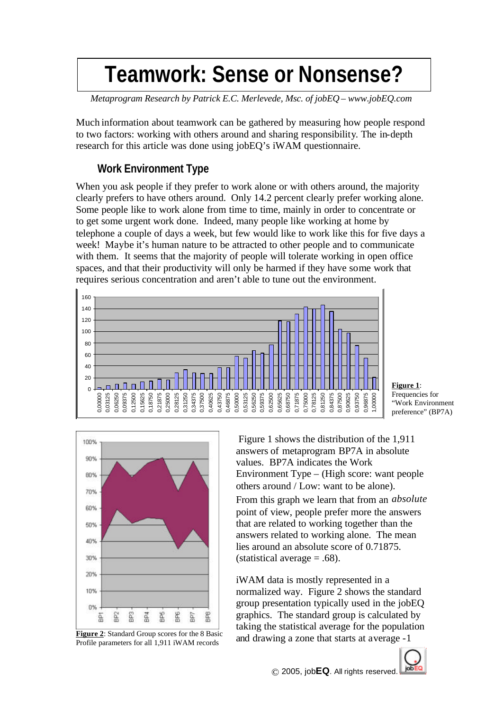## **Teamwork: Sense or Nonsense?**

*Metaprogram Research by Patrick E.C. Merlevede, Msc. of jobEQ – www.jobEQ.com*

Much information about teamwork can be gathered by measuring how people respond to two factors: working with others around and sharing responsibility. The in-depth research for this article was done using jobEQ's iWAM questionnaire.

## **Work Environment Type**

When you ask people if they prefer to work alone or with others around, the majority clearly prefers to have others around. Only 14.2 percent clearly prefer working alone. Some people like to work alone from time to time, mainly in order to concentrate or to get some urgent work done. Indeed, many people like working at home by telephone a couple of days a week, but few would like to work like this for five days a week! Maybe it's human nature to be attracted to other people and to communicate with them. It seems that the majority of people will tolerate working in open office spaces, and that their productivity will only be harmed if they have some work that requires serious concentration and aren't able to tune out the environment.



**Figure 1**: Frequencies for "Work Environment preference" (BP7A)





 Figure 1 shows the distribution of the 1,911 answers of metaprogram BP7A in absolute values. BP7A indicates the Work Environment Type – (High score: want people others around / Low: want to be alone). From this graph we learn that from an *absolute* point of view, people prefer more the answers that are related to working together than the answers related to working alone. The mean lies around an absolute score of 0.71875. (statistical average  $= .68$ ).

iWAM data is mostly represented in a normalized way. Figure 2 shows the standard group presentation typically used in the jobEQ graphics. The standard group is calculated by taking the statistical average for the population and drawing a zone that starts at average -1

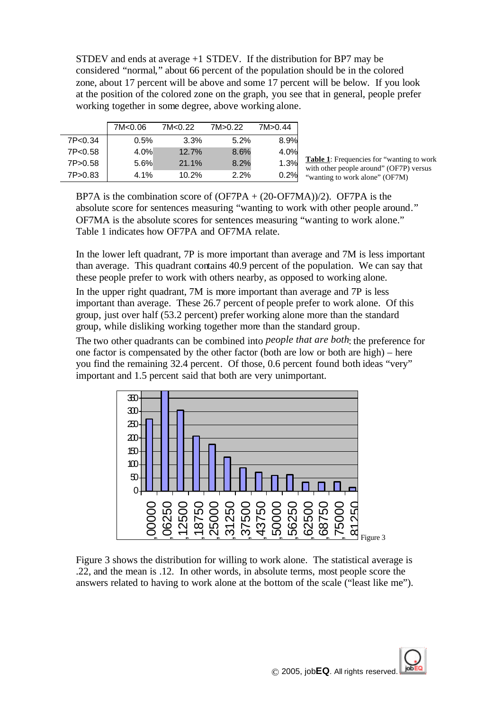STDEV and ends at average +1 STDEV. If the distribution for BP7 may be considered "normal," about 66 percent of the population should be in the colored zone, about 17 percent will be above and some 17 percent will be below. If you look at the position of the colored zone on the graph, you see that in general, people prefer working together in some degree, above working alone.

|                        | 7M<0.06 | 7M<0.22 | 7M <sub>&gt;0.22</sub> | 7M>0.44 |
|------------------------|---------|---------|------------------------|---------|
| 7P<0.34                | 0.5%    | 3.3%    | 5.2%                   | 8.9%    |
| 7P<0.58                | 4.0%    | 12.7%   | 8.6%                   | 4.0%    |
| 7P <sub>&gt;0.58</sub> | 5.6%    | 21.1%   | 8.2%                   | 1.3%    |
| 7P <sub>&gt;0.83</sub> | $4.1\%$ | 10.2%   | 2.2%                   | 0.2%    |

**Table 1**: Frequencies for "wanting to work with other people around" (OF7P) versus "wanting to work alone" (OF7M)

BP7A is the combination score of  $(OF7PA + (20-OF7MA))/2$ ). OF7PA is the absolute score for sentences measuring "wanting to work with other people around." OF7MA is the absolute scores for sentences measuring "wanting to work alone." Table 1 indicates how OF7PA and OF7MA relate.

In the lower left quadrant, 7P is more important than average and 7M is less important than average. This quadrant contains 40.9 percent of the population. We can say that these people prefer to work with others nearby, as opposed to working alone. In the upper right quadrant, 7M is more important than average and 7P is less important than average. These 26.7 percent of people prefer to work alone. Of this group, just over half (53.2 percent) prefer working alone more than the standard group, while disliking working together more than the standard group.

The two other quadrants can be combined into *people that are both*: the preference for one factor is compensated by the other factor (both are low or both are high) – here you find the remaining 32.4 percent. Of those, 0.6 percent found both ideas "very" important and 1.5 percent said that both are very unimportant.



Figure 3 shows the distribution for willing to work alone. The statistical average is .22, and the mean is .12. In other words, in absolute terms, most people score the answers related to having to work alone at the bottom of the scale ("least like me").

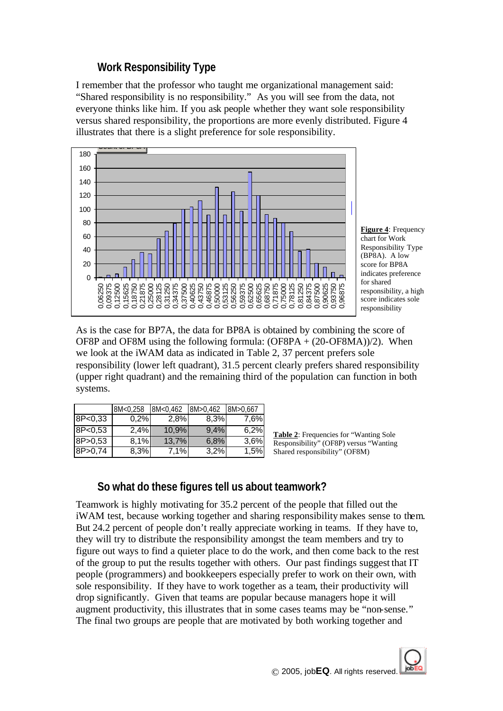## **Work Responsibility Type**

I remember that the professor who taught me organizational management said: "Shared responsibility is no responsibility." As you will see from the data, not everyone thinks like him. If you ask people whether they want sole responsibility versus shared responsibility, the proportions are more evenly distributed. Figure 4 illustrates that there is a slight preference for sole responsibility.



**Figure 4**: Frequency chart for Work Responsibility Type (BP8A). A low score for BP8A indicates preference for shared responsibility, a high score indicates sole responsibility

As is the case for BP7A, the data for BP8A is obtained by combining the score of OF8P and OF8M using the following formula: (OF8PA + (20-OF8MA))/2). When we look at the iWAM data as indicated in Table 2, 37 percent prefers sole responsibility (lower left quadrant), 31.5 percent clearly prefers shared responsibility (upper right quadrant) and the remaining third of the population can function in both systems.

|           | 8M<0,258 | 8M<0,462 | 8M>0,462 | 8M>0,667 |
|-----------|----------|----------|----------|----------|
| 8P < 0,33 | 0.2%     | 2,8%     | 8,3%     | 7,6%     |
| 8P<0,53   | 2,4%     | 10,9%    | 9,4%     | 6.2%     |
| 8P > 0,53 | 8,1%     | 13,7%    | 6.8%     | 3.6%     |
| 8P>0,74   | 8,3%     | 7,1%     | 3,2%     | 1,5%     |

Table 2: Frequencies for "Wanting Sole" Responsibility" (OF8P) versus "Wanting Shared responsibility" (OF8M)

## **So what do these figures tell us about teamwork?**

Teamwork is highly motivating for 35.2 percent of the people that filled out the iWAM test, because working together and sharing responsibility makes sense to them. But 24.2 percent of people don't really appreciate working in teams. If they have to, they will try to distribute the responsibility amongst the team members and try to figure out ways to find a quieter place to do the work, and then come back to the rest of the group to put the results together with others. Our past findings suggest that IT people (programmers) and bookkeepers especially prefer to work on their own, with sole responsibility. If they have to work together as a team, their productivity will drop significantly. Given that teams are popular because managers hope it will augment productivity, this illustrates that in some cases teams may be "non-sense." The final two groups are people that are motivated by both working together and